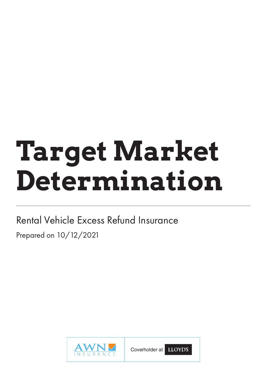# **Target Market Determination**

Rental Vehicle Excess Refund Insurance Prepared on 10/12/2021



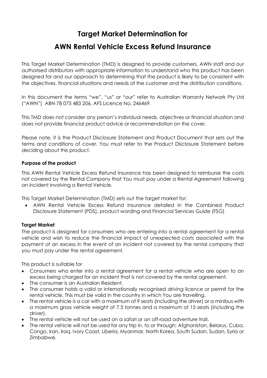# **Target Market Determination for**

# **AWN Rental Vehicle Excess Refund Insurance**

This Target Market Determination (TMD) is designed to provide customers, AWN staff and our authorised distributors with appropriate information to understand who this product has been designed for and our approach to determining that the product is likely to be consistent with the objectives, financial situations and needs of the customer and the distribution conditions.

In this document the terms "we", "us" or "our" refer to Australian Warranty Network Pty Ltd ("AWN") ABN 78 075 483 206, AFS Licence No. 246469.

This TMD does not consider any person's individual needs, objectives or financial situation and does not provide financial product advice or recommendation on the cover.

Please note, it is the Product Disclosure Statement and Product Document that sets out the terms and conditions of cover. You must refer to the Product Disclosure Statement before deciding about this product.

#### **Purpose of the product**

This AWN Rental Vehicle Excess Refund Insurance has been designed to reimburse the costs not covered by the Rental Company that You must pay under a Rental Agreement following an incident involving a Rental Vehicle.

This Target Market Determination (TMD) sets out the target market for:

• AWN Rental Vehicle Excess Refund Insurance detailed in the Combined Product Disclosure Statement (PDS), product wording and Financial Services Guide (FSG)

#### **Target Market**

The product is designed for consumers who are entering into a rental agreement for a rental vehicle and wish to reduce the financial impact of unexpected costs associated with the payment of an excess in the event of an incident not covered by the rental company that you must pay under the rental agreement.

This product is suitable for

- Consumers who enter into a rental agreement for a rental vehicle who are open to an excess being charged for an incident that is not covered by the rental agreement.
- The consumer is an Australian Resident.
- The consumer holds a valid or internationally recognised driving licence or permit for the rental vehicle. This must be valid in the country in which You are travelling.
- The rental vehicle is a car with a maximum of 9 seats (including the driver) or a minibus with a maximum gross vehicle weight of 7.5 tonnes and a maximum of 15 seats (including the driver).
- The rental vehicle will not be used on a safari or an off-road adventure trail.
- The rental vehicle will not be used for any trip in, to or through: Afghanistan, Belarus, Cuba, Congo, Iran, Iraq, Ivory Coast, Liberia, Myanmar, North Korea, South Sudan, Sudan, Syria or Zimbabwe.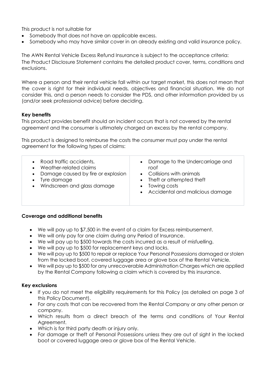This product is not suitable for

- Somebody that does not have an applicable excess.
- Somebody who may have similar cover in an already existing and valid insurance policy.

The AWN Rental Vehicle Excess Refund Insurance is subject to the acceptance criteria: The Product Disclosure Statement contains the detailed product cover, terms, conditions and exclusions.

Where a person and their rental vehicle fall within our target market, this does not mean that the cover is right for their individual needs, objectives and financial situation. We do not consider this, and a person needs to consider the PDS, and other information provided by us (and/or seek professional advice) before deciding.

## **Key benefits**

This product provides benefit should an incident occurs that is not covered by the rental agreement and the consumer is ultimately charged an excess by the rental company.

This product is designed to reimburse the costs the consumer must pay under the rental agreement for the following types of claims:

- Road traffic accidents,
- Weather-related claims
- Damage caused by fire or explosion
- Tyre damage
- Windscreen and glass damage
- Damage to the Undercarriage and roof
- Collisions with animals
- Theft or attempted theft
- Towing costs
- Accidental and malicious damage

#### **Coverage and additional benefits**

- We will pay up to \$7,500 in the event of a claim for Excess reimbursement.
- We will only pay for one claim during any Period of Insurance.
- We will pay up to \$500 towards the costs incurred as a result of misfuelling.
- We will pay up to \$500 for replacement keys and locks.
- We will pay up to \$500 to repair or replace Your Personal Possessions damaged or stolen from the locked boot, covered luggage area or glove box of the Rental Vehicle.
- We will pay up to \$500 for any unrecoverable Administration Charges which are applied by the Rental Company following a claim which is covered by this insurance.

#### **Key exclusions**

- If you do not meet the eligibility requirements for this Policy (as detailed on page 3 of this Policy Document).
- For any costs that can be recovered from the Rental Company or any other person or company.
- Which results from a direct breach of the terms and conditions of Your Rental Agreement.
- Which is for third party death or injury only.
- For damage or theft of Personal Possessions unless they are out of sight in the locked boot or covered luggage area or glove box of the Rental Vehicle.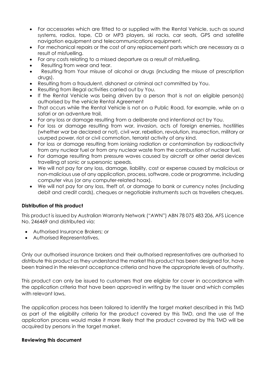- For accessories which are fitted to or supplied with the Rental Vehicle, such as sound systems, radios, tape, CD or MP3 players, ski racks, car seats, GPS and satellite navigation equipment and telecommunications equipment.
- For mechanical repairs or the cost of any replacement parts which are necessary as a result of misfuelling.
- For any costs relating to a missed departure as a result of misfuelling.
- Resulting from wear and tear.
- Resulting from Your misuse of alcohol or drugs (including the misuse of prescription drugs).
- Resulting from a fraudulent, dishonest or criminal act committed by You.
- Resulting from illegal activities carried out by You.
- If the Rental Vehicle was being driven by a person that is not an eligible person(s) authorised by the vehicle Rental Agreement
- That occurs while the Rental Vehicle is not on a Public Road, for example, while on a safari or an adventure trail.
- For any loss or damage resulting from a deliberate and intentional act by You.
- For loss or damage resulting from war, invasion, acts of foreign enemies, hostilities (whether war be declared or not), civil war, rebellion, revolution, insurrection, military or usurped power, riot or civil commotion, terrorist activity of any kind.
- For loss or damage resulting from ionising radiation or contamination by radioactivity from any nuclear fuel or from any nuclear waste from the combustion of nuclear fuel.
- For damage resulting from pressure waves caused by aircraft or other aerial devices travelling at sonic or supersonic speeds.
- We will not pay for any loss, damage, liability, cost or expense caused by malicious or non-malicious use of any application, process, software, code or programme, including computer virus (or any computer-related hoax).
- We will not pay for any loss, theft of, or damage to bank or currency notes (including debit and credit cards), cheques or negotiable instruments such as travellers cheques.

## **Distribution of this product**

This product is issued by Australian Warranty Network ("AWN") ABN 78 075 483 206, AFS Licence No. 246469 and distributed via:

- Authorised Insurance Brokers; or
- Authorised Representatives.

Only our authorised insurance brokers and their authorised representatives are authorised to distribute this product as they understand the market this product has been designed for, have been trained in the relevant acceptance criteria and have the appropriate levels of authority.

This product can only be issued to customers that are eligible for cover in accordance with the application criteria that have been approved in writing by the Issuer and which complies with relevant laws.

The application process has been tailored to identify the target market described in this TMD as part of the eligibility criteria for the product covered by this TMD, and the use of the application process would make it more likely that the product covered by this TMD will be acquired by persons in the target market.

#### **Reviewing this document**